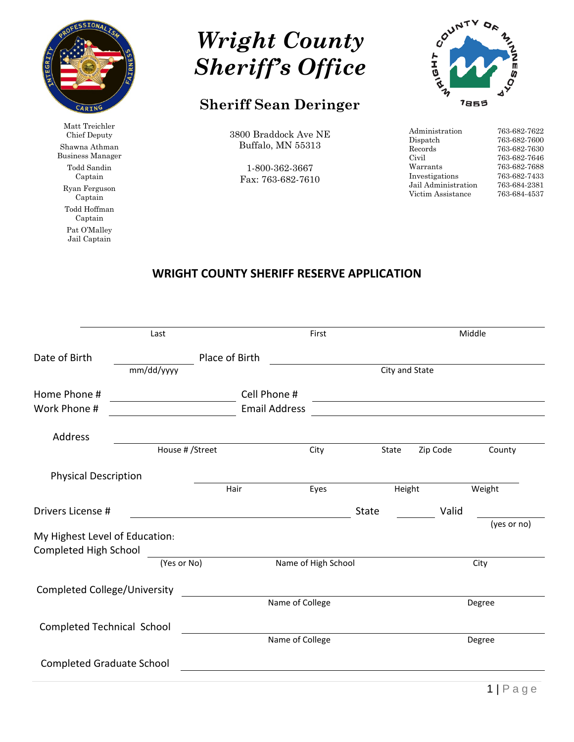

Matt Treichler Chief Deputy Shawna Athman Business Manager Todd Sandin Captain Ryan Ferguson Captain Todd Hoffman Captain Pat O'Malley Jail Captain



## **Sheriff Sean Deringer**

3800 Braddock Ave NE Buffalo, MN 55313

1-800-362-3667 Fax: 763-682-7610



| Administration      | 763-682-7622 |
|---------------------|--------------|
| Dispatch            | 763-682-7600 |
| Records             | 763-682-7630 |
| Civil               | 763-682-7646 |
| Warrants            | 763-682-7688 |
| Investigations      | 763-682-7433 |
| Jail Administration | 763-684-2381 |
| Victim Assistance   | 763-684-4537 |

## **WRIGHT COUNTY SHERIFF RESERVE APPLICATION**

|                                                         | Last            |                      | First               |                       |          | Middle      |
|---------------------------------------------------------|-----------------|----------------------|---------------------|-----------------------|----------|-------------|
| Date of Birth                                           |                 | Place of Birth       |                     |                       |          |             |
|                                                         | mm/dd/yyyy      |                      |                     | City and State        |          |             |
| Home Phone #                                            |                 | Cell Phone #         |                     |                       |          |             |
| Work Phone #                                            |                 | <b>Email Address</b> |                     |                       |          |             |
| Address                                                 |                 |                      |                     |                       |          |             |
|                                                         | House # /Street |                      | City                | State                 | Zip Code | County      |
| <b>Physical Description</b>                             |                 |                      |                     |                       |          |             |
|                                                         |                 | Hair                 | Eyes                | Height                |          | Weight      |
| Drivers License #                                       |                 |                      |                     | Valid<br><b>State</b> |          |             |
| My Highest Level of Education:<br>Completed High School |                 |                      |                     |                       |          | (yes or no) |
|                                                         | (Yes or No)     |                      | Name of High School |                       |          | City        |
| <b>Completed College/University</b>                     |                 |                      |                     |                       |          |             |
|                                                         |                 |                      | Name of College     |                       |          | Degree      |
| Completed Technical School                              |                 |                      |                     |                       |          |             |
|                                                         |                 |                      | Name of College     |                       |          | Degree      |
| <b>Completed Graduate School</b>                        |                 |                      |                     |                       |          |             |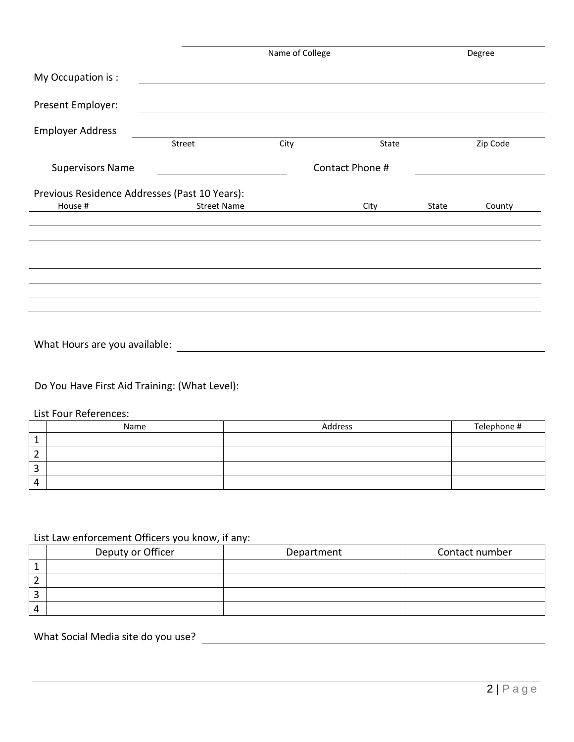|                                                                                                                                                                                                                                |                    | Name of College |         |       | Degree      |  |
|--------------------------------------------------------------------------------------------------------------------------------------------------------------------------------------------------------------------------------|--------------------|-----------------|---------|-------|-------------|--|
| My Occupation is:                                                                                                                                                                                                              |                    |                 |         |       |             |  |
| Present Employer:                                                                                                                                                                                                              |                    |                 |         |       |             |  |
| <b>Employer Address</b>                                                                                                                                                                                                        |                    |                 |         |       |             |  |
|                                                                                                                                                                                                                                | Street             | City            | State   |       | Zip Code    |  |
| <b>Supervisors Name</b>                                                                                                                                                                                                        | Contact Phone #    |                 |         |       |             |  |
| Previous Residence Addresses (Past 10 Years):                                                                                                                                                                                  |                    |                 |         |       |             |  |
| House #                                                                                                                                                                                                                        | <b>Street Name</b> |                 | City    | State | County      |  |
|                                                                                                                                                                                                                                |                    |                 |         |       |             |  |
|                                                                                                                                                                                                                                |                    |                 |         |       |             |  |
|                                                                                                                                                                                                                                |                    |                 |         |       |             |  |
|                                                                                                                                                                                                                                |                    |                 |         |       |             |  |
|                                                                                                                                                                                                                                |                    |                 |         |       |             |  |
|                                                                                                                                                                                                                                |                    |                 |         |       |             |  |
|                                                                                                                                                                                                                                |                    |                 |         |       |             |  |
| What Hours are you available:                                                                                                                                                                                                  |                    |                 |         |       |             |  |
|                                                                                                                                                                                                                                |                    |                 |         |       |             |  |
| Do You Have First Aid Training: (What Level): \\connection \\connection \\connection \\connection \\connection \\connection \\connection \\connection \\connection \\connection \\connection \\connection \\connection \\conne |                    |                 |         |       |             |  |
|                                                                                                                                                                                                                                |                    |                 |         |       |             |  |
| List Four References:                                                                                                                                                                                                          |                    |                 |         |       |             |  |
| Name<br>$\mathbf{1}$                                                                                                                                                                                                           |                    |                 | Address |       | Telephone # |  |
| $\overline{2}$                                                                                                                                                                                                                 |                    |                 |         |       |             |  |
| 3                                                                                                                                                                                                                              |                    |                 |         |       |             |  |

## List Law enforcement Officers you know, if any:

| Deputy or Officer | Department | Contact number |
|-------------------|------------|----------------|
|                   |            |                |
|                   |            |                |
|                   |            |                |
|                   |            |                |

## What Social Media site do you use?

4